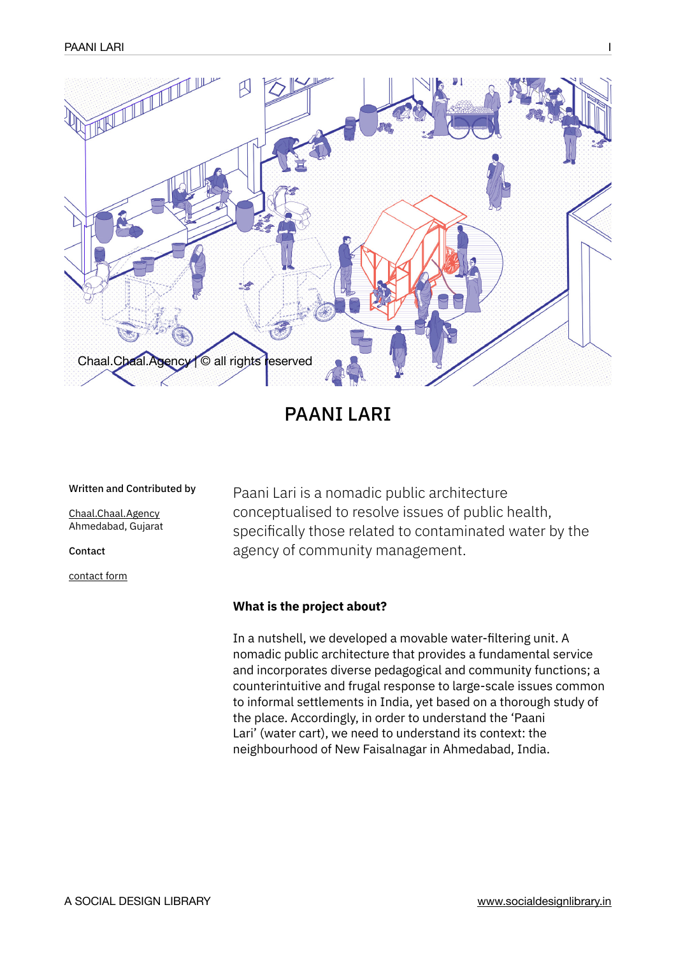

# PAANI LARI

#### Written and Contributed by

[Chaal.Chaal.Agency](http://chaalchaalagency.in/) Ahmedabad, Gujarat

Contact

[contact form](http://chaalchaalagency.in/contact/)

Paani Lari is a nomadic public architecture conceptualised to resolve issues of public health, specifically those related to contaminated water by the agency of community management.

### **What is the project about?**

In a nutshell, we developed a movable water-filtering unit. A nomadic public architecture that provides a fundamental service and incorporates diverse pedagogical and community functions; a counterintuitive and frugal response to large-scale issues common to informal settlements in India, yet based on a thorough study of the place. Accordingly, in order to understand the 'Paani Lari' (water cart), we need to understand its context: the neighbourhood of New Faisalnagar in Ahmedabad, India.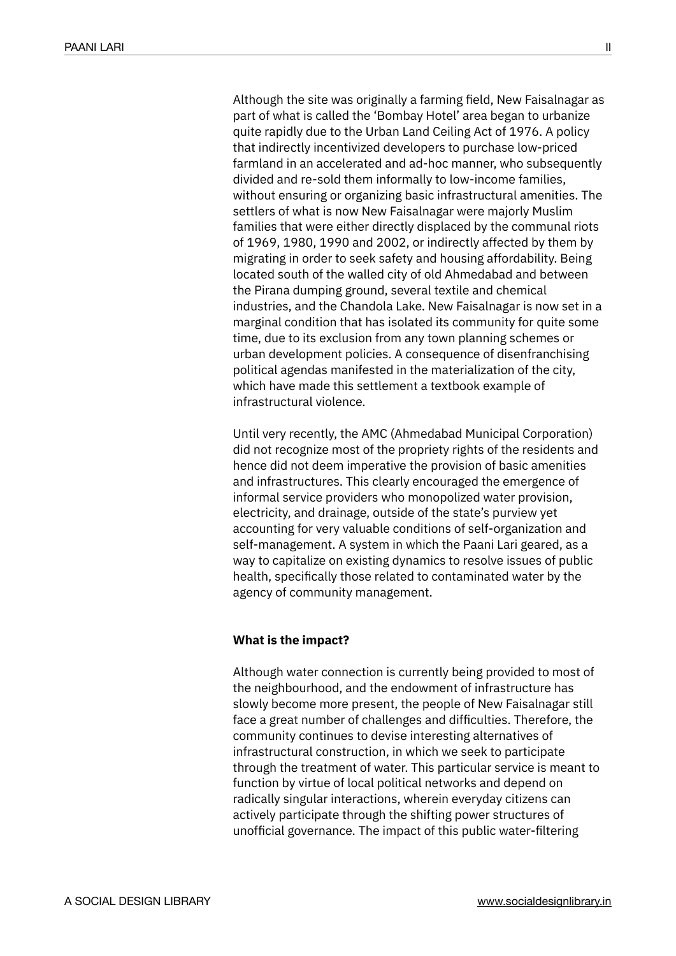Although the site was originally a farming field, New Faisalnagar as part of what is called the 'Bombay Hotel' area began to urbanize quite rapidly due to the Urban Land Ceiling Act of 1976. A policy that indirectly incentivized developers to purchase low-priced farmland in an accelerated and ad-hoc manner, who subsequently divided and re-sold them informally to low-income families, without ensuring or organizing basic infrastructural amenities. The settlers of what is now New Faisalnagar were majorly Muslim families that were either directly displaced by the communal riots of 1969, 1980, 1990 and 2002, or indirectly affected by them by migrating in order to seek safety and housing affordability. Being located south of the walled city of old Ahmedabad and between the Pirana dumping ground, several textile and chemical industries, and the Chandola Lake. New Faisalnagar is now set in a marginal condition that has isolated its community for quite some time, due to its exclusion from any town planning schemes or urban development policies. A consequence of disenfranchising political agendas manifested in the materialization of the city, which have made this settlement a textbook example of infrastructural violence.

Until very recently, the AMC (Ahmedabad Municipal Corporation) did not recognize most of the propriety rights of the residents and hence did not deem imperative the provision of basic amenities and infrastructures. This clearly encouraged the emergence of informal service providers who monopolized water provision, electricity, and drainage, outside of the state's purview yet accounting for very valuable conditions of self-organization and self-management. A system in which the Paani Lari geared, as a way to capitalize on existing dynamics to resolve issues of public health, specifically those related to contaminated water by the agency of community management.

# **What is the impact?**

Although water connection is currently being provided to most of the neighbourhood, and the endowment of infrastructure has slowly become more present, the people of New Faisalnagar still face a great number of challenges and difficulties. Therefore, the community continues to devise interesting alternatives of infrastructural construction, in which we seek to participate through the treatment of water. This particular service is meant to function by virtue of local political networks and depend on radically singular interactions, wherein everyday citizens can actively participate through the shifting power structures of unofficial governance. The impact of this public water-filtering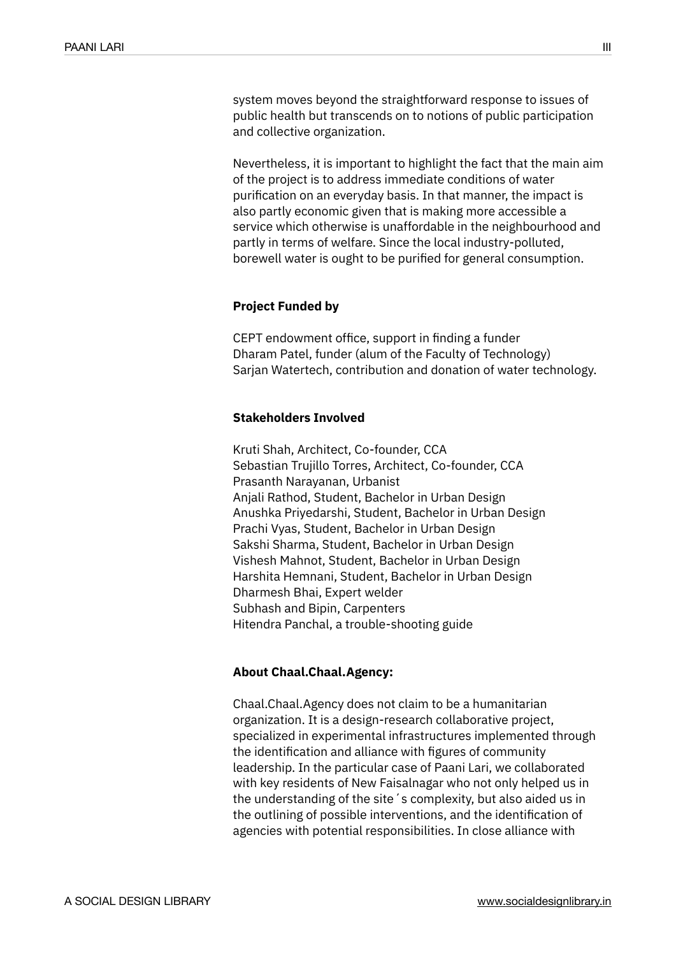system moves beyond the straightforward response to issues of public health but transcends on to notions of public participation and collective organization.

Nevertheless, it is important to highlight the fact that the main aim of the project is to address immediate conditions of water purification on an everyday basis. In that manner, the impact is also partly economic given that is making more accessible a service which otherwise is unaffordable in the neighbourhood and partly in terms of welfare. Since the local industry-polluted, borewell water is ought to be purified for general consumption.

## **Project Funded by**

CEPT endowment office, support in finding a funder Dharam Patel, funder (alum of the Faculty of Technology) Sarjan Watertech, contribution and donation of water technology.

#### **Stakeholders Involved**

Kruti Shah, Architect, Co-founder, CCA Sebastian Trujillo Torres, Architect, Co-founder, CCA Prasanth Narayanan, Urbanist Anjali Rathod, Student, Bachelor in Urban Design Anushka Priyedarshi, Student, Bachelor in Urban Design Prachi Vyas, Student, Bachelor in Urban Design Sakshi Sharma, Student, Bachelor in Urban Design Vishesh Mahnot, Student, Bachelor in Urban Design Harshita Hemnani, Student, Bachelor in Urban Design Dharmesh Bhai, Expert welder Subhash and Bipin, Carpenters Hitendra Panchal, a trouble-shooting guide

### **About Chaal.Chaal.Agency:**

Chaal.Chaal.Agency does not claim to be a humanitarian organization. It is a design-research collaborative project, specialized in experimental infrastructures implemented through the identification and alliance with figures of community leadership. In the particular case of Paani Lari, we collaborated with key residents of New Faisalnagar who not only helped us in the understanding of the site´s complexity, but also aided us in the outlining of possible interventions, and the identification of agencies with potential responsibilities. In close alliance with